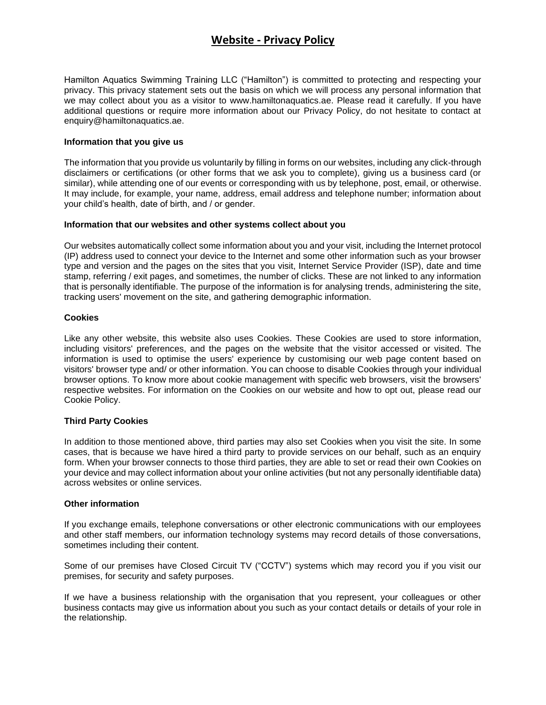# **Website - Privacy Policy**

Hamilton Aquatics Swimming Training LLC ("Hamilton") is committed to protecting and respecting your privacy. This privacy statement sets out the basis on which we will process any personal information that we may collect about you as a visitor to www.hamiltonaquatics.ae. Please read it carefully. If you have additional questions or require more information about our Privacy Policy, do not hesitate to contact at enquiry@hamiltonaquatics.ae.

### **Information that you give us**

The information that you provide us voluntarily by filling in forms on our websites, including any click-through disclaimers or certifications (or other forms that we ask you to complete), giving us a business card (or similar), while attending one of our events or corresponding with us by telephone, post, email, or otherwise. It may include, for example, your name, address, email address and telephone number; information about your child's health, date of birth, and / or gender.

### **Information that our websites and other systems collect about you**

Our websites automatically collect some information about you and your visit, including the Internet protocol (IP) address used to connect your device to the Internet and some other information such as your browser type and version and the pages on the sites that you visit, Internet Service Provider (ISP), date and time stamp, referring / exit pages, and sometimes, the number of clicks. These are not linked to any information that is personally identifiable. The purpose of the information is for analysing trends, administering the site, tracking users' movement on the site, and gathering demographic information.

## **Cookies**

Like any other website, this website also uses Cookies. These Cookies are used to store information, including visitors' preferences, and the pages on the website that the visitor accessed or visited. The information is used to optimise the users' experience by customising our web page content based on visitors' browser type and/ or other information. You can choose to disable Cookies through your individual browser options. To know more about cookie management with specific web browsers, visit the browsers' respective websites. For information on the Cookies on our website and how to opt out, please read our Cookie Policy.

### **Third Party Cookies**

In addition to those mentioned above, third parties may also set Cookies when you visit the site. In some cases, that is because we have hired a third party to provide services on our behalf, such as an enquiry form. When your browser connects to those third parties, they are able to set or read their own Cookies on your device and may collect information about your online activities (but not any personally identifiable data) across websites or online services.

### **Other information**

If you exchange emails, telephone conversations or other electronic communications with our employees and other staff members, our information technology systems may record details of those conversations, sometimes including their content.

Some of our premises have Closed Circuit TV ("CCTV") systems which may record you if you visit our premises, for security and safety purposes.

If we have a business relationship with the organisation that you represent, your colleagues or other business contacts may give us information about you such as your contact details or details of your role in the relationship.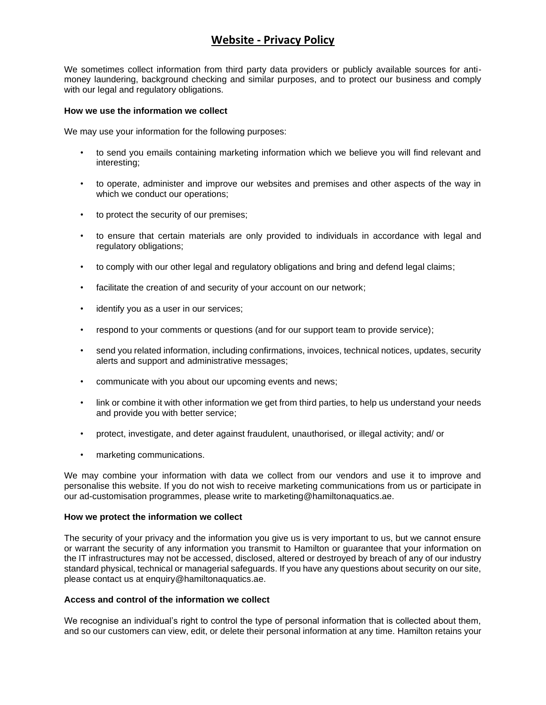# **Website - Privacy Policy**

We sometimes collect information from third party data providers or publicly available sources for antimoney laundering, background checking and similar purposes, and to protect our business and comply with our legal and regulatory obligations.

### **How we use the information we collect**

We may use your information for the following purposes:

- to send you emails containing marketing information which we believe you will find relevant and interesting;
- to operate, administer and improve our websites and premises and other aspects of the way in which we conduct our operations;
- to protect the security of our premises;
- to ensure that certain materials are only provided to individuals in accordance with legal and regulatory obligations;
- to comply with our other legal and regulatory obligations and bring and defend legal claims;
- facilitate the creation of and security of your account on our network;
- identify you as a user in our services;
- respond to your comments or questions (and for our support team to provide service);
- send you related information, including confirmations, invoices, technical notices, updates, security alerts and support and administrative messages;
- communicate with you about our upcoming events and news;
- link or combine it with other information we get from third parties, to help us understand your needs and provide you with better service;
- protect, investigate, and deter against fraudulent, unauthorised, or illegal activity; and/ or
- marketing communications.

We may combine your information with data we collect from our vendors and use it to improve and personalise this website. If you do not wish to receive marketing communications from us or participate in our ad-customisation programmes, please write to marketing@hamiltonaquatics.ae.

#### **How we protect the information we collect**

The security of your privacy and the information you give us is very important to us, but we cannot ensure or warrant the security of any information you transmit to Hamilton or guarantee that your information on the IT infrastructures may not be accessed, disclosed, altered or destroyed by breach of any of our industry standard physical, technical or managerial safeguards. If you have any questions about security on our site, please contact us at enquiry@hamiltonaquatics.ae.

#### **Access and control of the information we collect**

We recognise an individual's right to control the type of personal information that is collected about them, and so our customers can view, edit, or delete their personal information at any time. Hamilton retains your